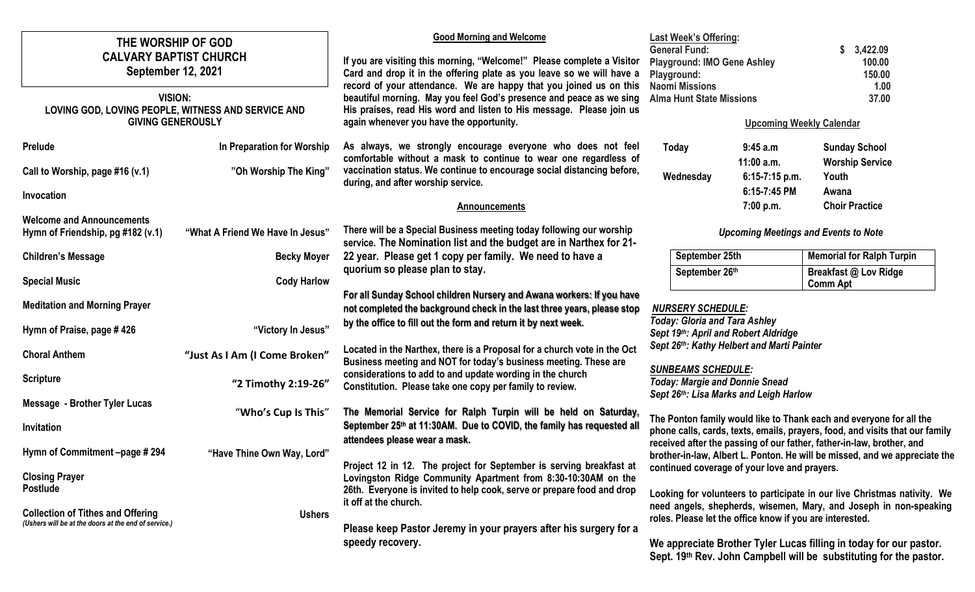| THE WORSHIP OF GOD<br><b>CALVARY BAPTIST CHURCH</b><br><b>September 12, 2021</b><br><b>VISION:</b><br>LOVING GOD, LOVING PEOPLE, WITNESS AND SERVICE AND |                                  | <b>Good Morning and Welcome</b><br>If you are visiting this morning, "Welcome!" Please complete a Visitor<br>Card and drop it in the offering plate as you leave so we will have a<br>record of your attendance. We are happy that you joined us on this<br>beautiful morning. May you feel God's presence and peace as we sing<br>His praises, read His word and listen to His message. Please join us<br>again whenever you have the opportunity. | <b>Last Week's Offering:</b><br><b>General Fund:</b><br><b>Playground: IMO Gene Ashley</b><br>Playground:<br><b>Naomi Missions</b><br><b>Alma Hunt State Missions</b>                                                                                                                                                                                                                                                                                                                                                                                        |                           | 3,422.09<br>100.00<br>150.00<br>1.00<br>37.00  |
|----------------------------------------------------------------------------------------------------------------------------------------------------------|----------------------------------|-----------------------------------------------------------------------------------------------------------------------------------------------------------------------------------------------------------------------------------------------------------------------------------------------------------------------------------------------------------------------------------------------------------------------------------------------------|--------------------------------------------------------------------------------------------------------------------------------------------------------------------------------------------------------------------------------------------------------------------------------------------------------------------------------------------------------------------------------------------------------------------------------------------------------------------------------------------------------------------------------------------------------------|---------------------------|------------------------------------------------|
| <b>GIVING GENEROUSLY</b>                                                                                                                                 |                                  |                                                                                                                                                                                                                                                                                                                                                                                                                                                     | <b>Upcoming Weekly Calendar</b>                                                                                                                                                                                                                                                                                                                                                                                                                                                                                                                              |                           |                                                |
| Prelude                                                                                                                                                  | In Preparation for Worship       | As always, we strongly encourage everyone who does not feel<br>comfortable without a mask to continue to wear one regardless of                                                                                                                                                                                                                                                                                                                     | Today                                                                                                                                                                                                                                                                                                                                                                                                                                                                                                                                                        | 9:45 a.m<br>$11:00$ a.m.  | <b>Sunday School</b><br><b>Worship Service</b> |
| Call to Worship, page #16 (v.1)                                                                                                                          | "Oh Worship The King"            | vaccination status. We continue to encourage social distancing before,<br>during, and after worship service.                                                                                                                                                                                                                                                                                                                                        | Wednesday                                                                                                                                                                                                                                                                                                                                                                                                                                                                                                                                                    | 6:15-7:15 p.m.            | Youth                                          |
| Invocation                                                                                                                                               |                                  | <b>Announcements</b>                                                                                                                                                                                                                                                                                                                                                                                                                                |                                                                                                                                                                                                                                                                                                                                                                                                                                                                                                                                                              | 6:15-7:45 PM<br>7:00 p.m. | Awana<br><b>Choir Practice</b>                 |
| <b>Welcome and Announcements</b><br>Hymn of Friendship, pg #182 (v.1)                                                                                    | "What A Friend We Have In Jesus" | There will be a Special Business meeting today following our worship<br>service. The Nomination list and the budget are in Narthex for 21-                                                                                                                                                                                                                                                                                                          | <b>Upcoming Meetings and Events to Note</b>                                                                                                                                                                                                                                                                                                                                                                                                                                                                                                                  |                           |                                                |
| <b>Children's Message</b>                                                                                                                                | <b>Becky Moyer</b>               | 22 year. Please get 1 copy per family. We need to have a                                                                                                                                                                                                                                                                                                                                                                                            | September 25th<br>September 26th                                                                                                                                                                                                                                                                                                                                                                                                                                                                                                                             |                           | <b>Memorial for Ralph Turpin</b>               |
| <b>Special Music</b>                                                                                                                                     | <b>Cody Harlow</b>               | quorium so please plan to stay.                                                                                                                                                                                                                                                                                                                                                                                                                     |                                                                                                                                                                                                                                                                                                                                                                                                                                                                                                                                                              |                           | Breakfast @ Lov Ridge<br><b>Comm Apt</b>       |
| <b>Meditation and Morning Prayer</b><br>Hymn of Praise, page #426                                                                                        | "Victory In Jesus"               | For all Sunday School children Nursery and Awana workers: If you have<br>not completed the background check in the last three years, please stop<br>by the office to fill out the form and return it by next week.                                                                                                                                                                                                                                  | <b>NURSERY SCHEDULE:</b><br><b>Today: Gloria and Tara Ashley</b><br>Sept 19th: April and Robert Aldridge<br>Sept 26th: Kathy Helbert and Marti Painter<br><b>SUNBEAMS SCHEDULE:</b><br><b>Today: Margie and Donnie Snead</b><br>Sept 26th: Lisa Marks and Leigh Harlow<br>The Ponton family would like to Thank each and everyone for all the<br>phone calls, cards, texts, emails, prayers, food, and visits that our family                                                                                                                                |                           |                                                |
| <b>Choral Anthem</b>                                                                                                                                     | "Just As I Am (I Come Broken"    | Located in the Narthex, there is a Proposal for a church vote in the Oct<br>Business meeting and NOT for today's business meeting. These are                                                                                                                                                                                                                                                                                                        |                                                                                                                                                                                                                                                                                                                                                                                                                                                                                                                                                              |                           |                                                |
| <b>Scripture</b>                                                                                                                                         | "2 Timothy 2:19-26"              | considerations to add to and update wording in the church<br>Constitution. Please take one copy per family to review.                                                                                                                                                                                                                                                                                                                               |                                                                                                                                                                                                                                                                                                                                                                                                                                                                                                                                                              |                           |                                                |
| <b>Message - Brother Tyler Lucas</b>                                                                                                                     | "Who's Cup Is This"              | The Memorial Service for Ralph Turpin will be held on Saturday,                                                                                                                                                                                                                                                                                                                                                                                     |                                                                                                                                                                                                                                                                                                                                                                                                                                                                                                                                                              |                           |                                                |
| Invitation                                                                                                                                               |                                  | September 25th at 11:30AM. Due to COVID, the family has requested all                                                                                                                                                                                                                                                                                                                                                                               |                                                                                                                                                                                                                                                                                                                                                                                                                                                                                                                                                              |                           |                                                |
| Hymn of Commitment -page #294                                                                                                                            | "Have Thine Own Way, Lord"       | attendees please wear a mask.                                                                                                                                                                                                                                                                                                                                                                                                                       | received after the passing of our father, father-in-law, brother, and<br>brother-in-law, Albert L. Ponton. He will be missed, and we appreciate the<br>continued coverage of your love and prayers.<br>Looking for volunteers to participate in our live Christmas nativity. We<br>need angels, shepherds, wisemen, Mary, and Joseph in non-speaking<br>roles. Please let the office know if you are interested.<br>We appreciate Brother Tyler Lucas filling in today for our pastor.<br>Sept. 19th Rev. John Campbell will be substituting for the pastor. |                           |                                                |
| <b>Closing Prayer</b><br><b>Postlude</b><br><b>Collection of Tithes and Offering</b><br>(Ushers will be at the doors at the end of service.)             | <b>Ushers</b>                    | Project 12 in 12. The project for September is serving breakfast at<br>Lovingston Ridge Community Apartment from 8:30-10:30AM on the<br>26th. Everyone is invited to help cook, serve or prepare food and drop<br>it off at the church.<br>Please keep Pastor Jeremy in your prayers after his surgery for a                                                                                                                                        |                                                                                                                                                                                                                                                                                                                                                                                                                                                                                                                                                              |                           |                                                |
|                                                                                                                                                          |                                  | speedy recovery.                                                                                                                                                                                                                                                                                                                                                                                                                                    |                                                                                                                                                                                                                                                                                                                                                                                                                                                                                                                                                              |                           |                                                |